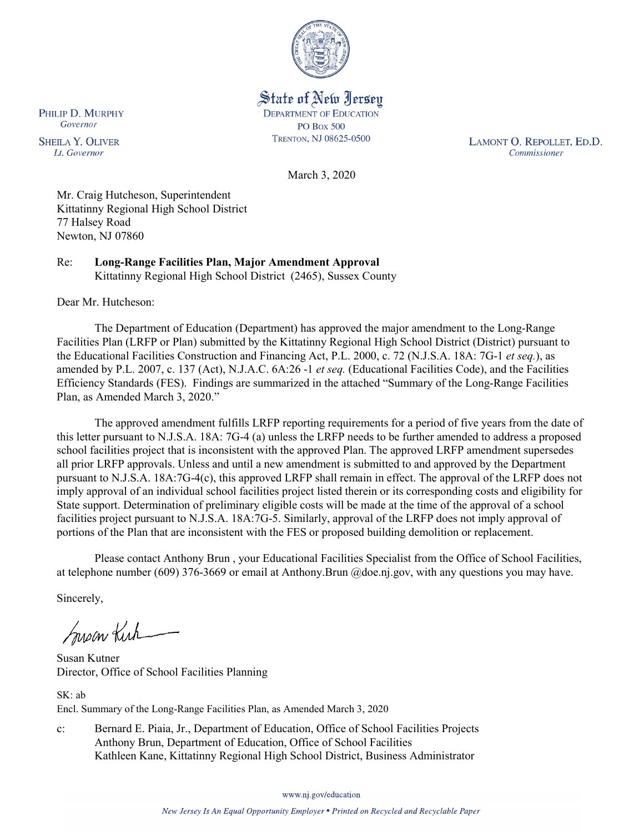

State of New Jersey **DEPARTMENT OF EDUCATION PO Box 500** TRENTON, NJ 08625-0500

LAMONT O. REPOLLET, ED.D. Commissioner

March 3, 2020

Mr. Craig Hutcheson, Superintendent Kittatinny Regional High School District 77 Halsey Road Newton, NJ 07860

Re: **Long-Range Facilities Plan, Major Amendment Approval** Kittatinny Regional High School District (2465), Sussex County

Dear Mr. Hutcheson:

The Department of Education (Department) has approved the major amendment to the Long-Range Facilities Plan (LRFP or Plan) submitted by the Kittatinny Regional High School District (District) pursuant to the Educational Facilities Construction and Financing Act, P.L. 2000, c. 72 (N.J.S.A. 18A: 7G-1 *et seq.*), as amended by P.L. 2007, c. 137 (Act), N.J.A.C. 6A:26 -1 *et seq.* (Educational Facilities Code), and the Facilities Efficiency Standards (FES). Findings are summarized in the attached "Summary of the Long-Range Facilities Plan, as Amended March 3, 2020."

The approved amendment fulfills LRFP reporting requirements for a period of five years from the date of this letter pursuant to N.J.S.A. 18A: 7G-4 (a) unless the LRFP needs to be further amended to address a proposed school facilities project that is inconsistent with the approved Plan. The approved LRFP amendment supersedes all prior LRFP approvals. Unless and until a new amendment is submitted to and approved by the Department pursuant to N.J.S.A. 18A:7G-4(c), this approved LRFP shall remain in effect. The approval of the LRFP does not imply approval of an individual school facilities project listed therein or its corresponding costs and eligibility for State support. Determination of preliminary eligible costs will be made at the time of the approval of a school facilities project pursuant to N.J.S.A. 18A:7G-5. Similarly, approval of the LRFP does not imply approval of portions of the Plan that are inconsistent with the FES or proposed building demolition or replacement.

Please contact Anthony Brun , your Educational Facilities Specialist from the Office of School Facilities, at telephone number (609) 376-3669 or email at Anthony.Brun @doe.nj.gov, with any questions you may have.

Sincerely,

Susan Kich

Susan Kutner Director, Office of School Facilities Planning

SK: ab Encl. Summary of the Long-Range Facilities Plan, as Amended March 3, 2020

c: Bernard E. Piaia, Jr., Department of Education, Office of School Facilities Projects Anthony Brun, Department of Education, Office of School Facilities Kathleen Kane, Kittatinny Regional High School District, Business Administrator

www.nj.gov/education

PHILIP D. MURPHY Governor

**SHEILA Y. OLIVER** Lt. Governor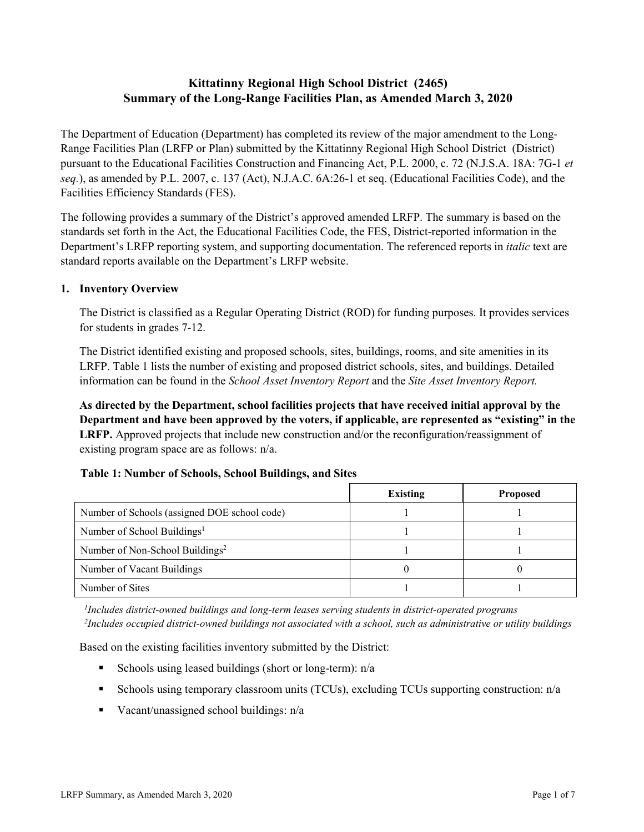# **Kittatinny Regional High School District (2465) Summary of the Long-Range Facilities Plan, as Amended March 3, 2020**

The Department of Education (Department) has completed its review of the major amendment to the Long-Range Facilities Plan (LRFP or Plan) submitted by the Kittatinny Regional High School District (District) pursuant to the Educational Facilities Construction and Financing Act, P.L. 2000, c. 72 (N.J.S.A. 18A: 7G-1 *et seq.*), as amended by P.L. 2007, c. 137 (Act), N.J.A.C. 6A:26-1 et seq. (Educational Facilities Code), and the Facilities Efficiency Standards (FES).

The following provides a summary of the District's approved amended LRFP. The summary is based on the standards set forth in the Act, the Educational Facilities Code, the FES, District-reported information in the Department's LRFP reporting system, and supporting documentation. The referenced reports in *italic* text are standard reports available on the Department's LRFP website.

### **1. Inventory Overview**

The District is classified as a Regular Operating District (ROD) for funding purposes. It provides services for students in grades 7-12.

The District identified existing and proposed schools, sites, buildings, rooms, and site amenities in its LRFP. Table 1 lists the number of existing and proposed district schools, sites, and buildings. Detailed information can be found in the *School Asset Inventory Report* and the *Site Asset Inventory Report.*

**As directed by the Department, school facilities projects that have received initial approval by the Department and have been approved by the voters, if applicable, are represented as "existing" in the LRFP.** Approved projects that include new construction and/or the reconfiguration/reassignment of existing program space are as follows: n/a.

#### **Table 1: Number of Schools, School Buildings, and Sites**

|                                              | <b>Existing</b> | <b>Proposed</b> |
|----------------------------------------------|-----------------|-----------------|
| Number of Schools (assigned DOE school code) |                 |                 |
| Number of School Buildings <sup>1</sup>      |                 |                 |
| Number of Non-School Buildings <sup>2</sup>  |                 |                 |
| Number of Vacant Buildings                   |                 |                 |
| Number of Sites                              |                 |                 |

*1 Includes district-owned buildings and long-term leases serving students in district-operated programs 2 Includes occupied district-owned buildings not associated with a school, such as administrative or utility buildings*

Based on the existing facilities inventory submitted by the District:

- Schools using leased buildings (short or long-term):  $n/a$
- Schools using temporary classroom units (TCUs), excluding TCUs supporting construction: n/a
- Vacant/unassigned school buildings:  $n/a$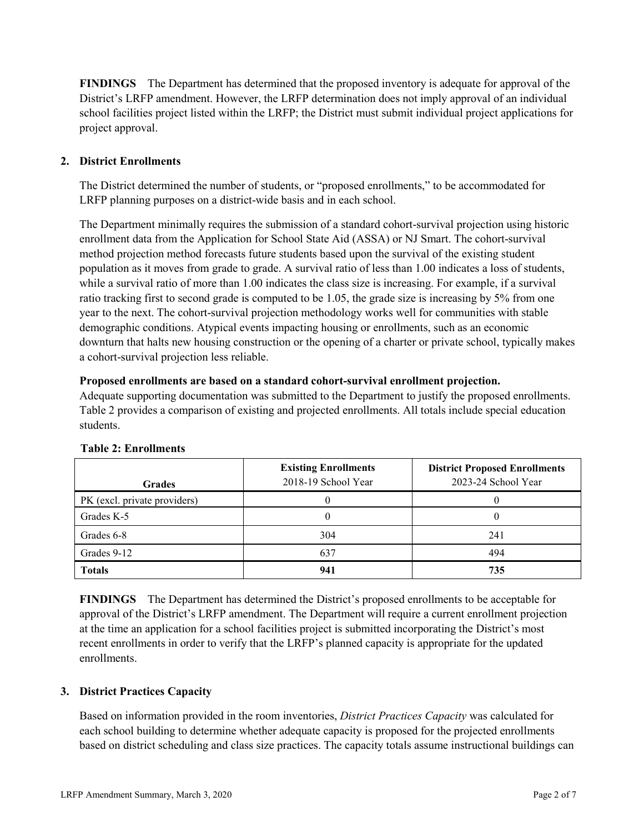**FINDINGS** The Department has determined that the proposed inventory is adequate for approval of the District's LRFP amendment. However, the LRFP determination does not imply approval of an individual school facilities project listed within the LRFP; the District must submit individual project applications for project approval.

# **2. District Enrollments**

The District determined the number of students, or "proposed enrollments," to be accommodated for LRFP planning purposes on a district-wide basis and in each school.

The Department minimally requires the submission of a standard cohort-survival projection using historic enrollment data from the Application for School State Aid (ASSA) or NJ Smart. The cohort-survival method projection method forecasts future students based upon the survival of the existing student population as it moves from grade to grade. A survival ratio of less than 1.00 indicates a loss of students, while a survival ratio of more than 1.00 indicates the class size is increasing. For example, if a survival ratio tracking first to second grade is computed to be 1.05, the grade size is increasing by 5% from one year to the next. The cohort-survival projection methodology works well for communities with stable demographic conditions. Atypical events impacting housing or enrollments, such as an economic downturn that halts new housing construction or the opening of a charter or private school, typically makes a cohort-survival projection less reliable.

#### **Proposed enrollments are based on a standard cohort-survival enrollment projection.**

Adequate supporting documentation was submitted to the Department to justify the proposed enrollments. Table 2 provides a comparison of existing and projected enrollments. All totals include special education students.

| <b>Grades</b>                | <b>Existing Enrollments</b><br>2018-19 School Year | <b>District Proposed Enrollments</b><br>2023-24 School Year |
|------------------------------|----------------------------------------------------|-------------------------------------------------------------|
| PK (excl. private providers) |                                                    |                                                             |
| Grades K-5                   |                                                    |                                                             |
| Grades 6-8                   | 304                                                | 241                                                         |
| Grades 9-12                  | 637                                                | 494                                                         |
| <b>Totals</b>                | 941                                                | 735                                                         |

#### **Table 2: Enrollments**

**FINDINGS** The Department has determined the District's proposed enrollments to be acceptable for approval of the District's LRFP amendment. The Department will require a current enrollment projection at the time an application for a school facilities project is submitted incorporating the District's most recent enrollments in order to verify that the LRFP's planned capacity is appropriate for the updated enrollments.

#### **3. District Practices Capacity**

Based on information provided in the room inventories, *District Practices Capacity* was calculated for each school building to determine whether adequate capacity is proposed for the projected enrollments based on district scheduling and class size practices. The capacity totals assume instructional buildings can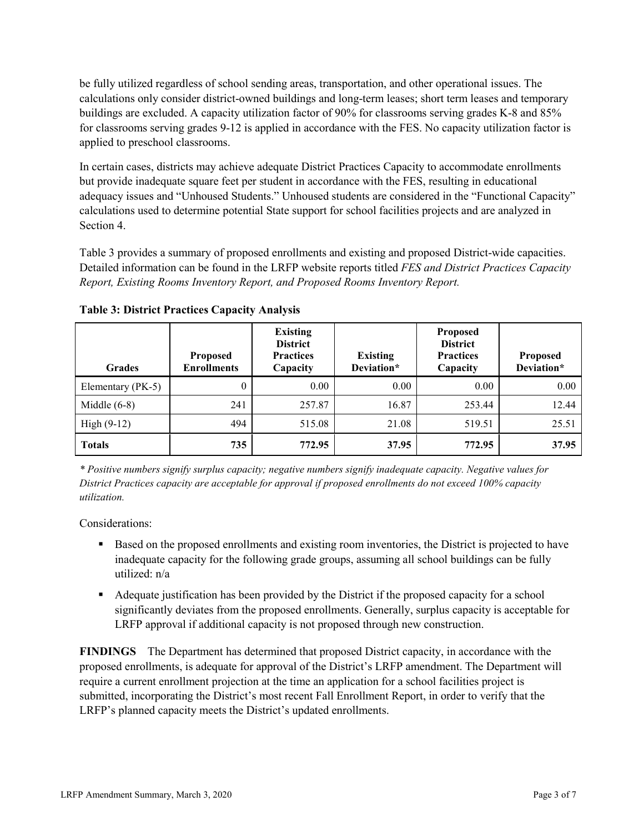be fully utilized regardless of school sending areas, transportation, and other operational issues. The calculations only consider district-owned buildings and long-term leases; short term leases and temporary buildings are excluded. A capacity utilization factor of 90% for classrooms serving grades K-8 and 85% for classrooms serving grades 9-12 is applied in accordance with the FES. No capacity utilization factor is applied to preschool classrooms.

In certain cases, districts may achieve adequate District Practices Capacity to accommodate enrollments but provide inadequate square feet per student in accordance with the FES, resulting in educational adequacy issues and "Unhoused Students." Unhoused students are considered in the "Functional Capacity" calculations used to determine potential State support for school facilities projects and are analyzed in Section 4.

Table 3 provides a summary of proposed enrollments and existing and proposed District-wide capacities. Detailed information can be found in the LRFP website reports titled *FES and District Practices Capacity Report, Existing Rooms Inventory Report, and Proposed Rooms Inventory Report.*

| <b>Grades</b>     | <b>Proposed</b><br><b>Enrollments</b> | <b>Existing</b><br><b>District</b><br><b>Practices</b><br>Capacity | <b>Existing</b><br>Deviation* | <b>Proposed</b><br><b>District</b><br><b>Practices</b><br>Capacity | <b>Proposed</b><br>Deviation* |
|-------------------|---------------------------------------|--------------------------------------------------------------------|-------------------------------|--------------------------------------------------------------------|-------------------------------|
| Elementary (PK-5) | $\theta$                              | 0.00                                                               | 0.00                          | 0.00                                                               | 0.00                          |
| Middle $(6-8)$    | 241                                   | 257.87                                                             | 16.87                         | 253.44                                                             | 12.44                         |
| High $(9-12)$     | 494                                   | 515.08                                                             | 21.08                         | 519.51                                                             | 25.51                         |
| <b>Totals</b>     | 735                                   | 772.95                                                             | 37.95                         | 772.95                                                             | 37.95                         |

**Table 3: District Practices Capacity Analysis**

*\* Positive numbers signify surplus capacity; negative numbers signify inadequate capacity. Negative values for District Practices capacity are acceptable for approval if proposed enrollments do not exceed 100% capacity utilization.*

Considerations:

- **Based on the proposed enrollments and existing room inventories, the District is projected to have** inadequate capacity for the following grade groups, assuming all school buildings can be fully utilized: n/a
- Adequate justification has been provided by the District if the proposed capacity for a school significantly deviates from the proposed enrollments. Generally, surplus capacity is acceptable for LRFP approval if additional capacity is not proposed through new construction.

**FINDINGS**The Department has determined that proposed District capacity, in accordance with the proposed enrollments, is adequate for approval of the District's LRFP amendment. The Department will require a current enrollment projection at the time an application for a school facilities project is submitted, incorporating the District's most recent Fall Enrollment Report, in order to verify that the LRFP's planned capacity meets the District's updated enrollments.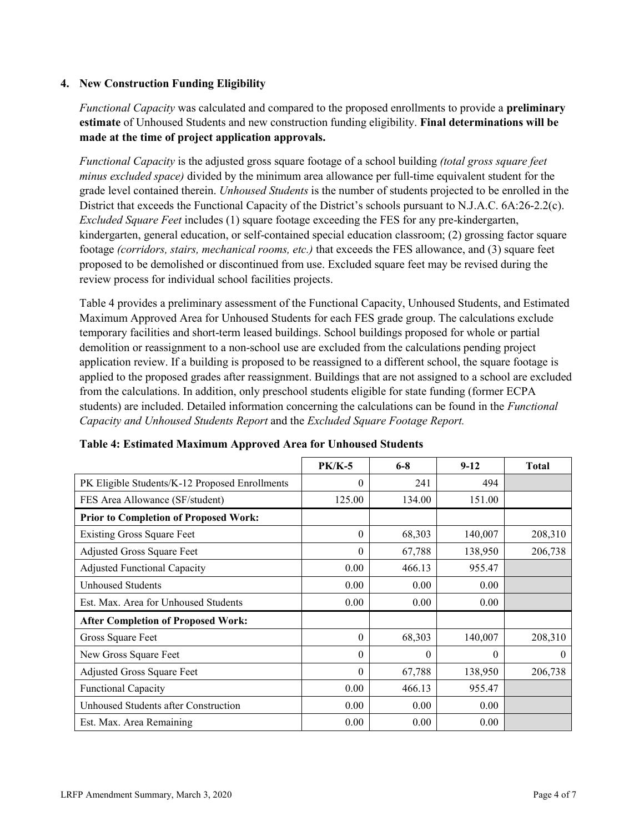### **4. New Construction Funding Eligibility**

*Functional Capacity* was calculated and compared to the proposed enrollments to provide a **preliminary estimate** of Unhoused Students and new construction funding eligibility. **Final determinations will be made at the time of project application approvals.**

*Functional Capacity* is the adjusted gross square footage of a school building *(total gross square feet minus excluded space)* divided by the minimum area allowance per full-time equivalent student for the grade level contained therein. *Unhoused Students* is the number of students projected to be enrolled in the District that exceeds the Functional Capacity of the District's schools pursuant to N.J.A.C. 6A:26-2.2(c). *Excluded Square Feet* includes (1) square footage exceeding the FES for any pre-kindergarten, kindergarten, general education, or self-contained special education classroom; (2) grossing factor square footage *(corridors, stairs, mechanical rooms, etc.)* that exceeds the FES allowance, and (3) square feet proposed to be demolished or discontinued from use. Excluded square feet may be revised during the review process for individual school facilities projects.

Table 4 provides a preliminary assessment of the Functional Capacity, Unhoused Students, and Estimated Maximum Approved Area for Unhoused Students for each FES grade group. The calculations exclude temporary facilities and short-term leased buildings. School buildings proposed for whole or partial demolition or reassignment to a non-school use are excluded from the calculations pending project application review. If a building is proposed to be reassigned to a different school, the square footage is applied to the proposed grades after reassignment. Buildings that are not assigned to a school are excluded from the calculations. In addition, only preschool students eligible for state funding (former ECPA students) are included. Detailed information concerning the calculations can be found in the *Functional Capacity and Unhoused Students Report* and the *Excluded Square Footage Report.*

|                                                | <b>PK/K-5</b> | $6 - 8$  | $9 - 12$ | <b>Total</b> |
|------------------------------------------------|---------------|----------|----------|--------------|
| PK Eligible Students/K-12 Proposed Enrollments | $\theta$      | 241      | 494      |              |
| FES Area Allowance (SF/student)                | 125.00        | 134.00   | 151.00   |              |
| <b>Prior to Completion of Proposed Work:</b>   |               |          |          |              |
| <b>Existing Gross Square Feet</b>              | $\Omega$      | 68,303   | 140,007  | 208,310      |
| Adjusted Gross Square Feet                     | $\theta$      | 67,788   | 138,950  | 206,738      |
| <b>Adjusted Functional Capacity</b>            | 0.00          | 466.13   | 955.47   |              |
| <b>Unhoused Students</b>                       | 0.00          | 0.00     | 0.00     |              |
| Est. Max. Area for Unhoused Students           | 0.00          | 0.00     | 0.00     |              |
| <b>After Completion of Proposed Work:</b>      |               |          |          |              |
| Gross Square Feet                              | $\theta$      | 68,303   | 140,007  | 208,310      |
| New Gross Square Feet                          | $\Omega$      | $\theta$ | $\theta$ | $\theta$     |
| Adjusted Gross Square Feet                     | $\Omega$      | 67,788   | 138,950  | 206,738      |
| Functional Capacity                            | 0.00          | 466.13   | 955.47   |              |
| Unhoused Students after Construction           | 0.00          | 0.00     | 0.00     |              |
| Est. Max. Area Remaining                       | 0.00          | 0.00     | 0.00     |              |

#### **Table 4: Estimated Maximum Approved Area for Unhoused Students**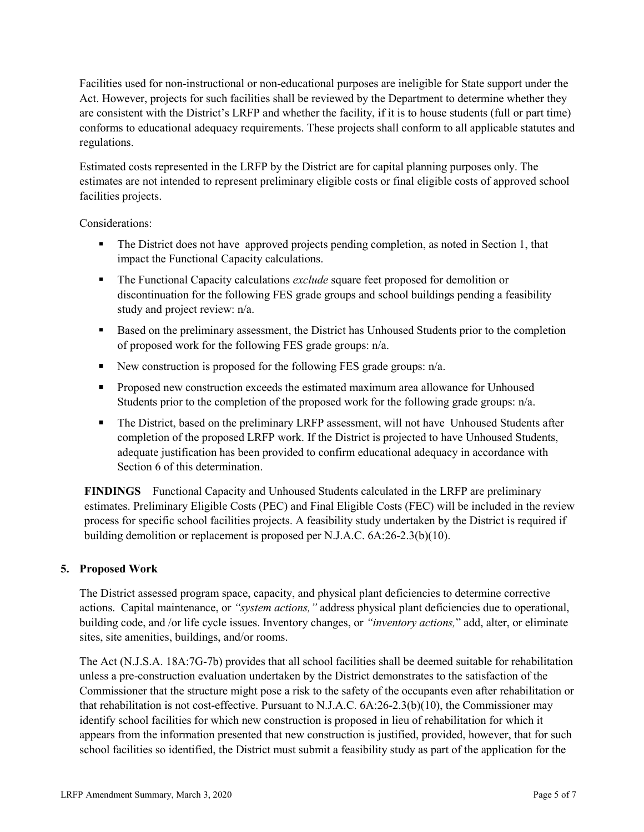Facilities used for non-instructional or non-educational purposes are ineligible for State support under the Act. However, projects for such facilities shall be reviewed by the Department to determine whether they are consistent with the District's LRFP and whether the facility, if it is to house students (full or part time) conforms to educational adequacy requirements. These projects shall conform to all applicable statutes and regulations.

Estimated costs represented in the LRFP by the District are for capital planning purposes only. The estimates are not intended to represent preliminary eligible costs or final eligible costs of approved school facilities projects.

Considerations:

- The District does not have approved projects pending completion, as noted in Section 1, that impact the Functional Capacity calculations.
- The Functional Capacity calculations *exclude* square feet proposed for demolition or discontinuation for the following FES grade groups and school buildings pending a feasibility study and project review: n/a.
- Based on the preliminary assessment, the District has Unhoused Students prior to the completion of proposed work for the following FES grade groups: n/a.
- New construction is proposed for the following FES grade groups:  $n/a$ .
- **Proposed new construction exceeds the estimated maximum area allowance for Unhoused** Students prior to the completion of the proposed work for the following grade groups: n/a.
- The District, based on the preliminary LRFP assessment, will not have Unhoused Students after completion of the proposed LRFP work. If the District is projected to have Unhoused Students, adequate justification has been provided to confirm educational adequacy in accordance with Section 6 of this determination.

**FINDINGS** Functional Capacity and Unhoused Students calculated in the LRFP are preliminary estimates. Preliminary Eligible Costs (PEC) and Final Eligible Costs (FEC) will be included in the review process for specific school facilities projects. A feasibility study undertaken by the District is required if building demolition or replacement is proposed per N.J.A.C. 6A:26-2.3(b)(10).

# **5. Proposed Work**

The District assessed program space, capacity, and physical plant deficiencies to determine corrective actions. Capital maintenance, or *"system actions,"* address physical plant deficiencies due to operational, building code, and /or life cycle issues. Inventory changes, or *"inventory actions,*" add, alter, or eliminate sites, site amenities, buildings, and/or rooms.

The Act (N.J.S.A. 18A:7G-7b) provides that all school facilities shall be deemed suitable for rehabilitation unless a pre-construction evaluation undertaken by the District demonstrates to the satisfaction of the Commissioner that the structure might pose a risk to the safety of the occupants even after rehabilitation or that rehabilitation is not cost-effective. Pursuant to N.J.A.C. 6A:26-2.3(b)(10), the Commissioner may identify school facilities for which new construction is proposed in lieu of rehabilitation for which it appears from the information presented that new construction is justified, provided, however, that for such school facilities so identified, the District must submit a feasibility study as part of the application for the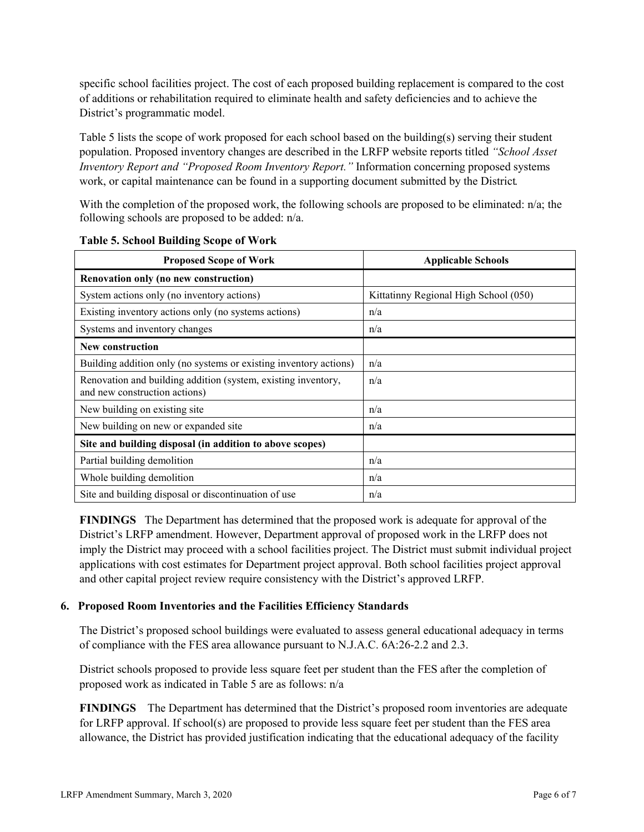specific school facilities project. The cost of each proposed building replacement is compared to the cost of additions or rehabilitation required to eliminate health and safety deficiencies and to achieve the District's programmatic model.

Table 5 lists the scope of work proposed for each school based on the building(s) serving their student population. Proposed inventory changes are described in the LRFP website reports titled *"School Asset Inventory Report and "Proposed Room Inventory Report."* Information concerning proposed systems work, or capital maintenance can be found in a supporting document submitted by the District.

With the completion of the proposed work, the following schools are proposed to be eliminated: n/a; the following schools are proposed to be added: n/a.

| <b>Proposed Scope of Work</b>                                                                  | <b>Applicable Schools</b>             |
|------------------------------------------------------------------------------------------------|---------------------------------------|
| Renovation only (no new construction)                                                          |                                       |
| System actions only (no inventory actions)                                                     | Kittatinny Regional High School (050) |
| Existing inventory actions only (no systems actions)                                           | n/a                                   |
| Systems and inventory changes                                                                  | n/a                                   |
| New construction                                                                               |                                       |
| Building addition only (no systems or existing inventory actions)                              | n/a                                   |
| Renovation and building addition (system, existing inventory,<br>and new construction actions) | n/a                                   |
| New building on existing site                                                                  | n/a                                   |
| New building on new or expanded site                                                           | n/a                                   |
| Site and building disposal (in addition to above scopes)                                       |                                       |
| Partial building demolition                                                                    | n/a                                   |
| Whole building demolition                                                                      | n/a                                   |
| Site and building disposal or discontinuation of use                                           | n/a                                   |

**Table 5. School Building Scope of Work**

**FINDINGS** The Department has determined that the proposed work is adequate for approval of the District's LRFP amendment. However, Department approval of proposed work in the LRFP does not imply the District may proceed with a school facilities project. The District must submit individual project applications with cost estimates for Department project approval. Both school facilities project approval and other capital project review require consistency with the District's approved LRFP.

#### **6. Proposed Room Inventories and the Facilities Efficiency Standards**

The District's proposed school buildings were evaluated to assess general educational adequacy in terms of compliance with the FES area allowance pursuant to N.J.A.C. 6A:26-2.2 and 2.3.

District schools proposed to provide less square feet per student than the FES after the completion of proposed work as indicated in Table 5 are as follows: n/a

**FINDINGS** The Department has determined that the District's proposed room inventories are adequate for LRFP approval. If school(s) are proposed to provide less square feet per student than the FES area allowance, the District has provided justification indicating that the educational adequacy of the facility